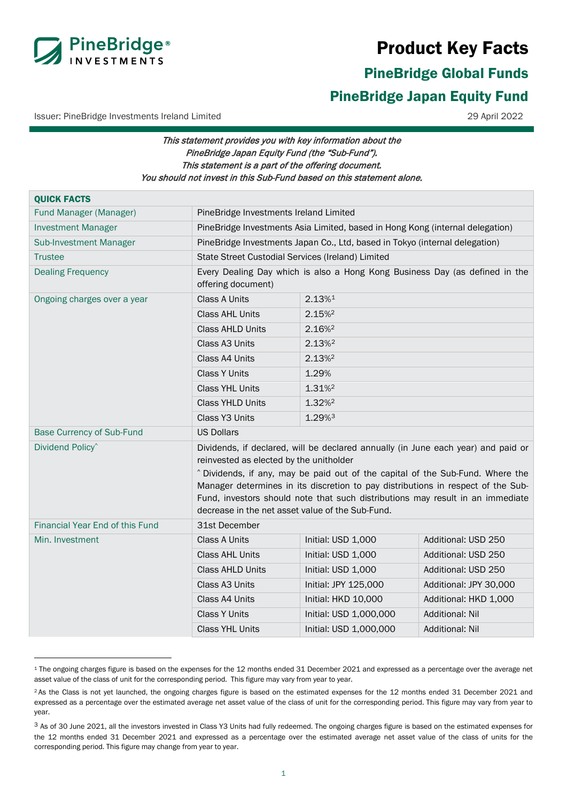

# Product Key Facts

# PineBridge Global Funds

# <span id="page-0-0"></span>PineBridge Japan Equity Fund

Issuer: PineBridge Investments Ireland Limited 29 April 2022

# This statement provides you with key information about the PineBridge Japan Equity Fund (the "Sub-Fund"). This statement is a part of the offering document. You should not invest in this Sub-Fund based on this statement alone.

| Fund Manager (Manager)<br>PineBridge Investments Ireland Limited<br>PineBridge Investments Asia Limited, based in Hong Kong (internal delegation)<br><b>Investment Manager</b><br>PineBridge Investments Japan Co., Ltd, based in Tokyo (internal delegation)<br><b>Sub-Investment Manager</b><br>State Street Custodial Services (Ireland) Limited<br><b>Trustee</b><br><b>Dealing Frequency</b><br>offering document)<br><b>Class A Units</b><br>2.13%1<br>Ongoing charges over a year<br><b>Class AHL Units</b><br>2.15%<br><b>Class AHLD Units</b><br>2.16% <sup>2</sup><br>Class A3 Units<br>2.13% <sup>2</sup><br>Class A4 Units<br>2.13% <sup>2</sup> | <b>QUICK FACTS</b> |                                                                                                                                                                                                                                                                                                                                           |  |  |  |
|--------------------------------------------------------------------------------------------------------------------------------------------------------------------------------------------------------------------------------------------------------------------------------------------------------------------------------------------------------------------------------------------------------------------------------------------------------------------------------------------------------------------------------------------------------------------------------------------------------------------------------------------------------------|--------------------|-------------------------------------------------------------------------------------------------------------------------------------------------------------------------------------------------------------------------------------------------------------------------------------------------------------------------------------------|--|--|--|
|                                                                                                                                                                                                                                                                                                                                                                                                                                                                                                                                                                                                                                                              |                    |                                                                                                                                                                                                                                                                                                                                           |  |  |  |
|                                                                                                                                                                                                                                                                                                                                                                                                                                                                                                                                                                                                                                                              |                    |                                                                                                                                                                                                                                                                                                                                           |  |  |  |
|                                                                                                                                                                                                                                                                                                                                                                                                                                                                                                                                                                                                                                                              |                    |                                                                                                                                                                                                                                                                                                                                           |  |  |  |
|                                                                                                                                                                                                                                                                                                                                                                                                                                                                                                                                                                                                                                                              |                    |                                                                                                                                                                                                                                                                                                                                           |  |  |  |
|                                                                                                                                                                                                                                                                                                                                                                                                                                                                                                                                                                                                                                                              |                    | Every Dealing Day which is also a Hong Kong Business Day (as defined in the                                                                                                                                                                                                                                                               |  |  |  |
|                                                                                                                                                                                                                                                                                                                                                                                                                                                                                                                                                                                                                                                              |                    |                                                                                                                                                                                                                                                                                                                                           |  |  |  |
|                                                                                                                                                                                                                                                                                                                                                                                                                                                                                                                                                                                                                                                              |                    |                                                                                                                                                                                                                                                                                                                                           |  |  |  |
|                                                                                                                                                                                                                                                                                                                                                                                                                                                                                                                                                                                                                                                              |                    |                                                                                                                                                                                                                                                                                                                                           |  |  |  |
|                                                                                                                                                                                                                                                                                                                                                                                                                                                                                                                                                                                                                                                              |                    |                                                                                                                                                                                                                                                                                                                                           |  |  |  |
|                                                                                                                                                                                                                                                                                                                                                                                                                                                                                                                                                                                                                                                              |                    |                                                                                                                                                                                                                                                                                                                                           |  |  |  |
| <b>Class Y Units</b><br>1.29%                                                                                                                                                                                                                                                                                                                                                                                                                                                                                                                                                                                                                                |                    |                                                                                                                                                                                                                                                                                                                                           |  |  |  |
| <b>Class YHL Units</b><br>1.31% <sup>2</sup>                                                                                                                                                                                                                                                                                                                                                                                                                                                                                                                                                                                                                 |                    |                                                                                                                                                                                                                                                                                                                                           |  |  |  |
| 1.32% <sup>2</sup><br><b>Class YHLD Units</b>                                                                                                                                                                                                                                                                                                                                                                                                                                                                                                                                                                                                                |                    |                                                                                                                                                                                                                                                                                                                                           |  |  |  |
| 1.29%3<br>Class Y3 Units                                                                                                                                                                                                                                                                                                                                                                                                                                                                                                                                                                                                                                     |                    |                                                                                                                                                                                                                                                                                                                                           |  |  |  |
| <b>Base Currency of Sub-Fund</b><br><b>US Dollars</b>                                                                                                                                                                                                                                                                                                                                                                                                                                                                                                                                                                                                        |                    |                                                                                                                                                                                                                                                                                                                                           |  |  |  |
| Dividend Policy <sup>^</sup><br>reinvested as elected by the unitholder<br>decrease in the net asset value of the Sub-Fund.                                                                                                                                                                                                                                                                                                                                                                                                                                                                                                                                  |                    | Dividends, if declared, will be declared annually (in June each year) and paid or<br>^ Dividends, if any, may be paid out of the capital of the Sub-Fund. Where the<br>Manager determines in its discretion to pay distributions in respect of the Sub-<br>Fund, investors should note that such distributions may result in an immediate |  |  |  |
| Financial Year End of this Fund<br>31st December                                                                                                                                                                                                                                                                                                                                                                                                                                                                                                                                                                                                             |                    |                                                                                                                                                                                                                                                                                                                                           |  |  |  |
| <b>Class A Units</b><br>Initial: USD 1,000<br>Additional: USD 250<br>Min. Investment                                                                                                                                                                                                                                                                                                                                                                                                                                                                                                                                                                         |                    |                                                                                                                                                                                                                                                                                                                                           |  |  |  |
| <b>Class AHL Units</b><br>Initial: USD 1,000<br>Additional: USD 250                                                                                                                                                                                                                                                                                                                                                                                                                                                                                                                                                                                          |                    |                                                                                                                                                                                                                                                                                                                                           |  |  |  |
| <b>Class AHLD Units</b><br>Additional: USD 250<br>Initial: USD 1,000                                                                                                                                                                                                                                                                                                                                                                                                                                                                                                                                                                                         |                    |                                                                                                                                                                                                                                                                                                                                           |  |  |  |
| Class A3 Units<br>Initial: JPY 125,000<br>Additional: JPY 30,000                                                                                                                                                                                                                                                                                                                                                                                                                                                                                                                                                                                             |                    |                                                                                                                                                                                                                                                                                                                                           |  |  |  |
| Class A4 Units<br>Initial: HKD 10,000<br>Additional: HKD 1,000                                                                                                                                                                                                                                                                                                                                                                                                                                                                                                                                                                                               |                    |                                                                                                                                                                                                                                                                                                                                           |  |  |  |
| <b>Class Y Units</b><br>Initial: USD 1,000,000<br><b>Additional: Nil</b>                                                                                                                                                                                                                                                                                                                                                                                                                                                                                                                                                                                     |                    |                                                                                                                                                                                                                                                                                                                                           |  |  |  |
| <b>Class YHL Units</b><br>Initial: USD 1,000,000<br><b>Additional: Nil</b>                                                                                                                                                                                                                                                                                                                                                                                                                                                                                                                                                                                   |                    |                                                                                                                                                                                                                                                                                                                                           |  |  |  |

<span id="page-0-1"></span><sup>1</sup> The ongoing charges figure is based on the expenses for the 12 months ended 31 December 2021 and expressed as a percentage over the average net asset value of the class of unit for the corresponding period. This figure may vary from year to year.

<span id="page-0-2"></span><sup>&</sup>lt;sup>2</sup> As the Class is not yet launched, the ongoing charges figure is based on the estimated expenses for the 12 months ended 31 December 2021 and expressed as a percentage over the estimated average net asset value of the class of unit for the corresponding period. This figure may vary from year to year.

<span id="page-0-3"></span><sup>&</sup>lt;sup>3</sup> As of 30 June 2021, all the investors invested in Class Y3 Units had fully redeemed. The ongoing charges figure is based on the estimated expenses for the 12 months ended 31 December 2021 and expressed as a percentage over the estimated average net asset value of the class of units for the corresponding period. This figure may change from year to year.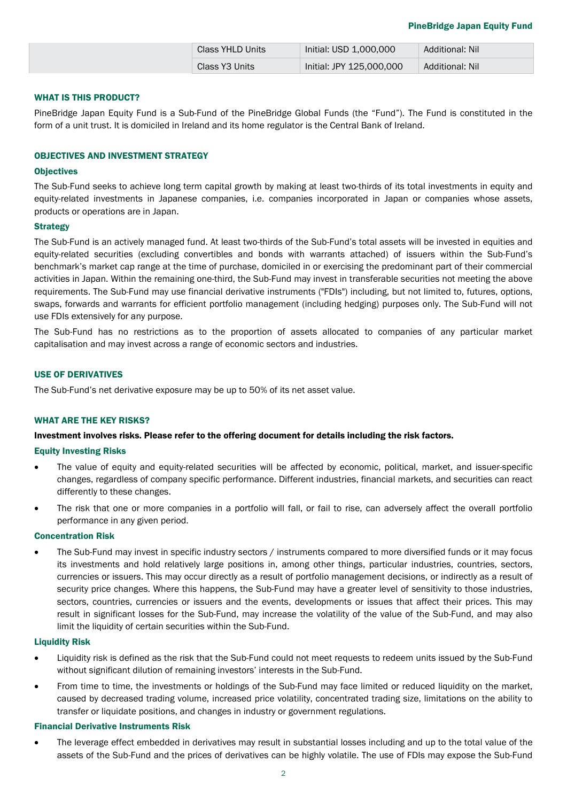| Class YHLD Units | Initial: USD 1,000,000   | Additional: Nil |
|------------------|--------------------------|-----------------|
| Class Y3 Units   | Initial: JPY 125,000,000 | Additional: Nil |

## WHAT IS THIS PRODUCT?

PineBridge Japan Equity Fund is a Sub-Fund of the PineBridge Global Funds (the "Fund"). The Fund is constituted in the form of a unit trust. It is domiciled in Ireland and its home regulator is the Central Bank of Ireland.

#### OBJECTIVES AND INVESTMENT STRATEGY

#### **Objectives**

The Sub-Fund seeks to achieve long term capital growth by making at least two-thirds of its total investments in equity and equity-related investments in Japanese companies, i.e. companies incorporated in Japan or companies whose assets, products or operations are in Japan.

#### **Strategy**

The Sub-Fund is an actively managed fund. At least two-thirds of the Sub-Fund's total assets will be invested in equities and equity-related securities (excluding convertibles and bonds with warrants attached) of issuers within the Sub-Fund's benchmark's market cap range at the time of purchase, domiciled in or exercising the predominant part of their commercial activities in Japan. Within the remaining one-third, the Sub-Fund may invest in transferable securities not meeting the above requirements. The Sub-Fund may use financial derivative instruments ("FDIs") including, but not limited to, futures, options, swaps, forwards and warrants for efficient portfolio management (including hedging) purposes only. The Sub-Fund will not use FDIs extensively for any purpose.

The Sub-Fund has no restrictions as to the proportion of assets allocated to companies of any particular market capitalisation and may invest across a range of economic sectors and industries.

# USE OF DERIVATIVES

The Sub-Fund's net derivative exposure may be up to 50% of its net asset value.

#### WHAT ARE THE KEY RISKS?

#### Investment involves risks. Please refer to the offering document for details including the risk factors.

#### Equity Investing Risks

- The value of equity and equity-related securities will be affected by economic, political, market, and issuer-specific changes, regardless of company specific performance. Different industries, financial markets, and securities can react differently to these changes.
- The risk that one or more companies in a portfolio will fall, or fail to rise, can adversely affect the overall portfolio performance in any given period.

#### Concentration Risk

The Sub-Fund may invest in specific industry sectors / instruments compared to more diversified funds or it may focus its investments and hold relatively large positions in, among other things, particular industries, countries, sectors, currencies or issuers. This may occur directly as a result of portfolio management decisions, or indirectly as a result of security price changes. Where this happens, the Sub-Fund may have a greater level of sensitivity to those industries, sectors, countries, currencies or issuers and the events, developments or issues that affect their prices. This may result in significant losses for the Sub-Fund, may increase the volatility of the value of the Sub-Fund, and may also limit the liquidity of certain securities within the Sub-Fund.

#### Liquidity Risk

- Liquidity risk is defined as the risk that the Sub-Fund could not meet requests to redeem units issued by the Sub-Fund without significant dilution of remaining investors' interests in the Sub-Fund.
- From time to time, the investments or holdings of the Sub-Fund may face limited or reduced liquidity on the market, caused by decreased trading volume, increased price volatility, concentrated trading size, limitations on the ability to transfer or liquidate positions, and changes in industry or government regulations.

#### Financial Derivative Instruments Risk

• The leverage effect embedded in derivatives may result in substantial losses including and up to the total value of the assets of the Sub-Fund and the prices of derivatives can be highly volatile. The use of FDIs may expose the Sub-Fund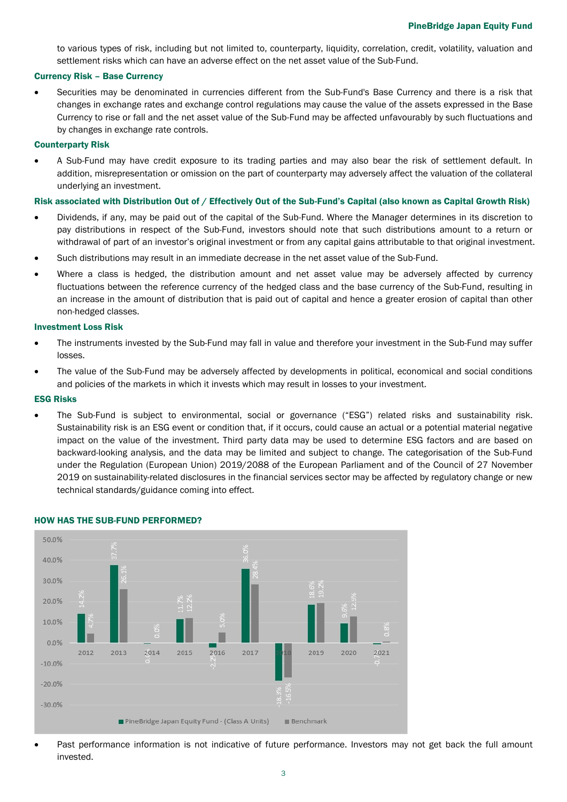to various types of risk, including but not limited to, counterparty, liquidity, correlation, credit, volatility, valuation and settlement risks which can have an adverse effect on the net asset value of the Sub-Fund.

#### Currency Risk – Base Currency

• Securities may be denominated in currencies different from the Sub-Fund's Base Currency and there is a risk that changes in exchange rates and exchange control regulations may cause the value of the assets expressed in the Base Currency to rise or fall and the net asset value of the Sub-Fund may be affected unfavourably by such fluctuations and by changes in exchange rate controls.

#### Counterparty Risk

• A Sub-Fund may have credit exposure to its trading parties and may also bear the risk of settlement default. In addition, misrepresentation or omission on the part of counterparty may adversely affect the valuation of the collateral underlying an investment.

#### Risk associated with Distribution Out of / Effectively Out of the Sub-Fund's Capital (also known as Capital Growth Risk)

- Dividends, if any, may be paid out of the capital of the Sub-Fund. Where the Manager determines in its discretion to pay distributions in respect of the Sub-Fund, investors should note that such distributions amount to a return or withdrawal of part of an investor's original investment or from any capital gains attributable to that original investment.
- Such distributions may result in an immediate decrease in the net asset value of the Sub-Fund.
- Where a class is hedged, the distribution amount and net asset value may be adversely affected by currency fluctuations between the reference currency of the hedged class and the base currency of the Sub-Fund, resulting in an increase in the amount of distribution that is paid out of capital and hence a greater erosion of capital than other non-hedged classes.

#### Investment Loss Risk

- The instruments invested by the Sub-Fund may fall in value and therefore your investment in the Sub-Fund may suffer losses.
- The value of the Sub-Fund may be adversely affected by developments in political, economical and social conditions and policies of the markets in which it invests which may result in losses to your investment.

#### ESG Risks

• The Sub-Fund is subject to environmental, social or governance ("ESG") related risks and sustainability risk. Sustainability risk is an ESG event or condition that, if it occurs, could cause an actual or a potential material negative impact on the value of the investment. Third party data may be used to determine ESG factors and are based on backward-looking analysis, and the data may be limited and subject to change. The categorisation of the Sub-Fund under the Regulation (European Union) 2019/2088 of the European Parliament and of the Council of 27 November 2019 on sustainability-related disclosures in the financial services sector may be affected by regulatory change or new technical standards/guidance coming into effect.



#### HOW HAS THE SUB-FUND PERFORMED?

Past performance information is not indicative of future performance. Investors may not get back the full amount invested.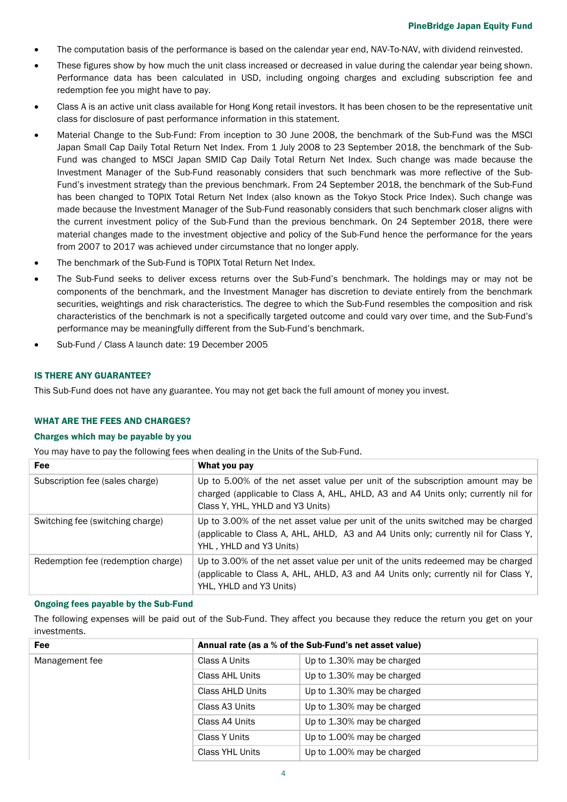- The computation basis of the performance is based on the calendar year end, NAV-To-NAV, with dividend reinvested.
- These figures show by how much the unit class increased or decreased in value during the calendar year being shown. Performance data has been calculated in USD, including ongoing charges and excluding subscription fee and redemption fee you might have to pay.
- Class A is an active unit class available for Hong Kong retail investors. It has been chosen to be the representative unit class for disclosure of past performance information in this statement.
- Material Change to the Sub-Fund: From inception to 30 June 2008, the benchmark of the Sub-Fund was the MSCI Japan Small Cap Daily Total Return Net Index. From 1 July 2008 to 23 September 2018, the benchmark of the Sub-Fund was changed to MSCI Japan SMID Cap Daily Total Return Net Index. Such change was made because the Investment Manager of the Sub-Fund reasonably considers that such benchmark was more reflective of the Sub-Fund's investment strategy than the previous benchmark. From 24 September 2018, the benchmark of the Sub-Fund has been changed to TOPIX Total Return Net Index (also known as the Tokyo Stock Price Index). Such change was made because the Investment Manager of the Sub-Fund reasonably considers that such benchmark closer aligns with the current investment policy of the Sub-Fund than the previous benchmark. On 24 September 2018, there were material changes made to the investment objective and policy of the Sub-Fund hence the performance for the years from 2007 to 2017 was achieved under circumstance that no longer apply.
- The benchmark of the Sub-Fund is TOPIX Total Return Net Index.
- The Sub-Fund seeks to deliver excess returns over the Sub-Fund's benchmark. The holdings may or may not be components of the benchmark, and the Investment Manager has discretion to deviate entirely from the benchmark securities, weightings and risk characteristics. The degree to which the Sub-Fund resembles the composition and risk characteristics of the benchmark is not a specifically targeted outcome and could vary over time, and the Sub-Fund's performance may be meaningfully different from the Sub-Fund's benchmark.
- Sub-Fund / Class A launch date: 19 December 2005

# IS THERE ANY GUARANTEE?

This Sub-Fund does not have any guarantee. You may not get back the full amount of money you invest.

#### WHAT ARE THE FEES AND CHARGES?

#### Charges which may be payable by you

You may have to pay the following fees when dealing in the Units of the Sub-Fund.

| <b>Fee</b>                         | What you pay                                                                                                                                                                                            |
|------------------------------------|---------------------------------------------------------------------------------------------------------------------------------------------------------------------------------------------------------|
| Subscription fee (sales charge)    | Up to 5.00% of the net asset value per unit of the subscription amount may be<br>charged (applicable to Class A, AHL, AHLD, A3 and A4 Units only; currently nil for<br>Class Y, YHL, YHLD and Y3 Units) |
| Switching fee (switching charge)   | Up to 3.00% of the net asset value per unit of the units switched may be charged<br>(applicable to Class A, AHL, AHLD, A3 and A4 Units only; currently nil for Class Y,<br>YHL, YHLD and Y3 Units)      |
| Redemption fee (redemption charge) | Up to 3.00% of the net asset value per unit of the units redeemed may be charged<br>(applicable to Class A, AHL, AHLD, A3 and A4 Units only; currently nil for Class Y,<br>YHL, YHLD and Y3 Units)      |

### Ongoing fees payable by the Sub-Fund

The following expenses will be paid out of the Sub-Fund. They affect you because they reduce the return you get on your investments.

| Fee            | Annual rate (as a % of the Sub-Fund's net asset value) |                            |
|----------------|--------------------------------------------------------|----------------------------|
| Management fee | Class A Units                                          | Up to 1.30% may be charged |
|                | Class AHL Units                                        | Up to 1.30% may be charged |
|                | Class AHLD Units                                       | Up to 1.30% may be charged |
|                | Class A3 Units                                         | Up to 1.30% may be charged |
|                | Class A4 Units                                         | Up to 1.30% may be charged |
|                | Class Y Units                                          | Up to 1.00% may be charged |
|                | Class YHL Units                                        | Up to 1.00% may be charged |